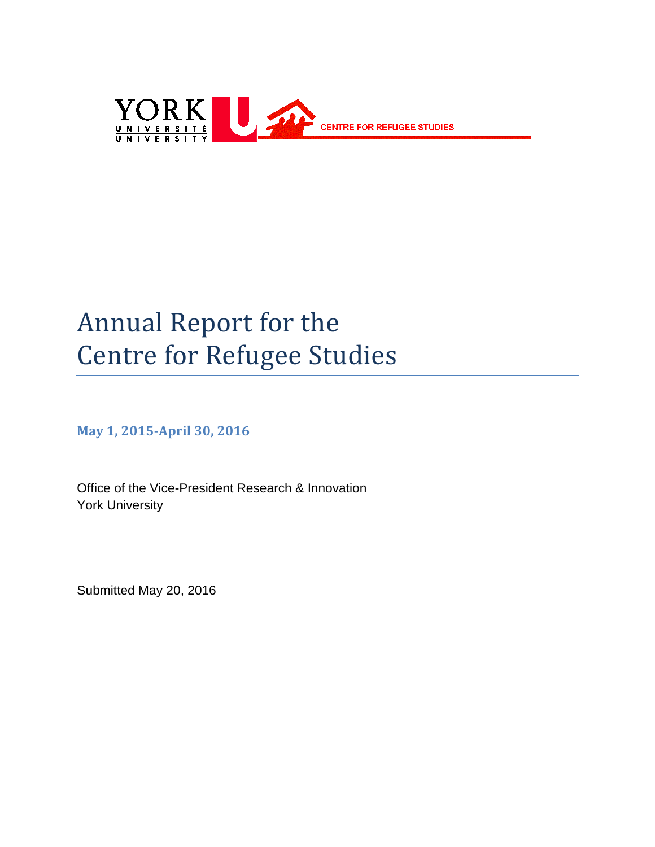

# Annual Report for the Centre for Refugee Studies

**May 1, 2015-April 30, 2016**

Office of the Vice-President Research & Innovation York University

Submitted May 20, 2016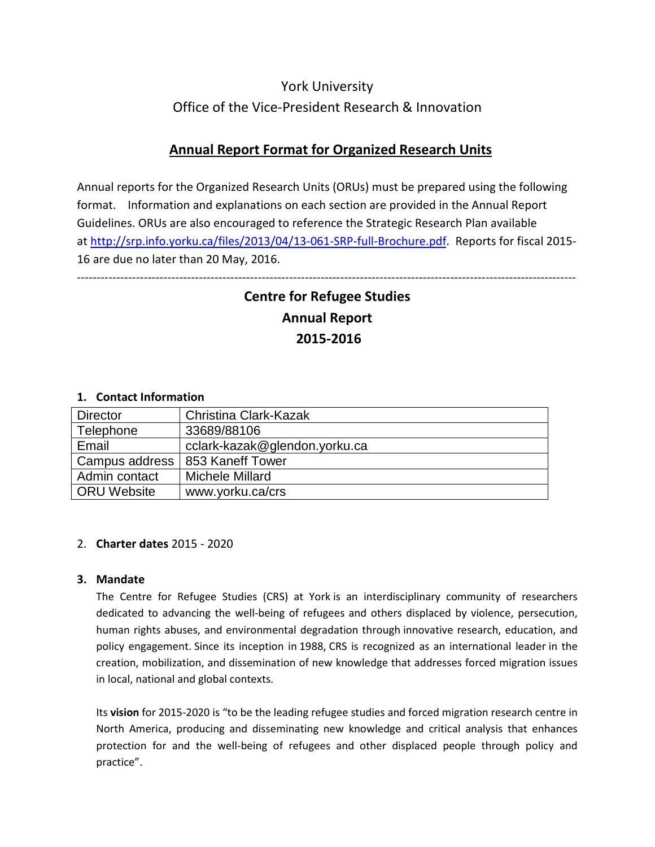# York University Office of the Vice-President Research & Innovation

## **Annual Report Format for Organized Research Units**

Annual reports for the Organized Research Units (ORUs) must be prepared using the following format. Information and explanations on each section are provided in the Annual Report Guidelines. ORUs are also encouraged to reference the Strategic Research Plan available at [http://srp.info.yorku.ca/files/2013/04/13-061-SRP-full-Brochure.pdf.](http://srp.info.yorku.ca/files/2013/04/13-061-SRP-full-Brochure.pdf) Reports for fiscal 2015-16 are due no later than 20 May, 2016.

# **Centre for Refugee Studies Annual Report 2015-2016**

-------------------------------------------------------------------------------------------------------------------------------

#### **1. Contact Information**

| Christina Clark-Kazak<br><b>Director</b><br>33689/88106<br>Telephone<br>cclark-kazak@glendon.yorku.ca<br>Email<br>Campus address<br>853 Kaneff Tower<br>Admin contact<br>Michele Millard |  |
|------------------------------------------------------------------------------------------------------------------------------------------------------------------------------------------|--|
|                                                                                                                                                                                          |  |
|                                                                                                                                                                                          |  |
|                                                                                                                                                                                          |  |
|                                                                                                                                                                                          |  |
|                                                                                                                                                                                          |  |
| <b>ORU Website</b><br>www.yorku.ca/crs                                                                                                                                                   |  |

#### 2. **Charter dates** 2015 - 2020

#### **3. Mandate**

The Centre for Refugee Studies (CRS) at York is an interdisciplinary community of researchers dedicated to advancing the well-being of refugees and others displaced by violence, persecution, human rights abuses, and environmental degradation through innovative research, education, and policy engagement. Since its inception in 1988, CRS is recognized as an international leader in the creation, mobilization, and dissemination of new knowledge that addresses forced migration issues in local, national and global contexts.

Its **vision** for 2015-2020 is "to be the leading refugee studies and forced migration research centre in North America, producing and disseminating new knowledge and critical analysis that enhances protection for and the well-being of refugees and other displaced people through policy and practice".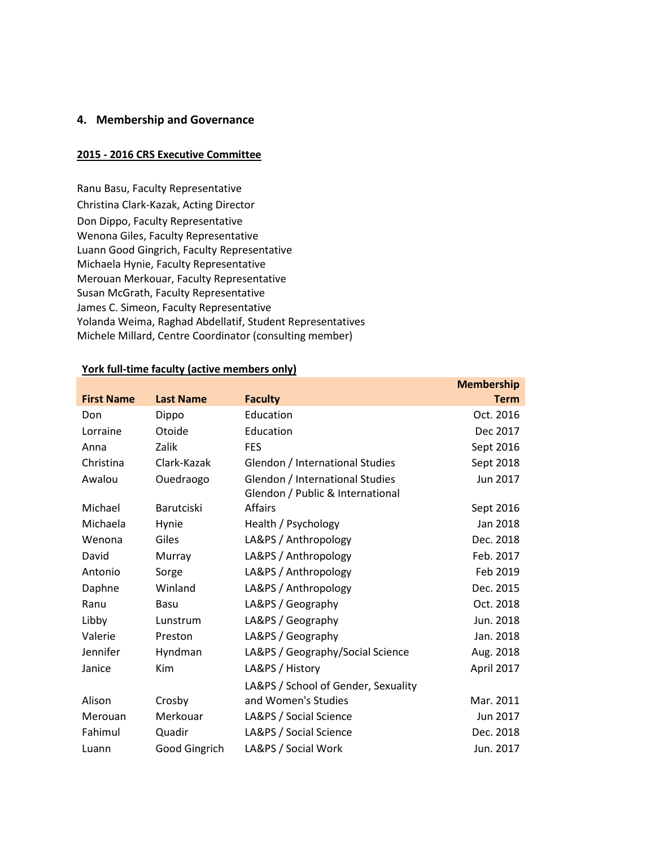#### **4. Membership and Governance**

#### **2015 - 2016 CRS Executive Committee**

Ranu Basu, Faculty Representative Christina Clark-Kazak, Acting Director Don Dippo, Faculty Representative Wenona Giles, Faculty Representative Luann Good Gingrich, Faculty Representative Michaela Hynie, Faculty Representative Merouan Merkouar, Faculty Representative Susan McGrath, Faculty Representative James C. Simeon, Faculty Representative Yolanda Weima, Raghad Abdellatif, Student Representatives Michele Millard, Centre Coordinator (consulting member)

#### **York full-time faculty (active members only)**

|                   |                   |                                     | <b>Membership</b> |
|-------------------|-------------------|-------------------------------------|-------------------|
| <b>First Name</b> | <b>Last Name</b>  | <b>Faculty</b>                      | <b>Term</b>       |
| Don               | Dippo             | Education                           | Oct. 2016         |
| Lorraine          | Otoide            | Education                           | Dec 2017          |
| Anna              | Zalik             | <b>FES</b>                          | Sept 2016         |
| Christina         | Clark-Kazak       | Glendon / International Studies     | Sept 2018         |
| Awalou            | Ouedraogo         | Glendon / International Studies     | Jun 2017          |
|                   |                   | Glendon / Public & International    |                   |
| Michael           | <b>Barutciski</b> | <b>Affairs</b>                      | Sept 2016         |
| Michaela          | Hynie             | Health / Psychology                 | Jan 2018          |
| Wenona            | Giles             | LA&PS / Anthropology                | Dec. 2018         |
| David             | Murray            | LA&PS / Anthropology                | Feb. 2017         |
| Antonio           | Sorge             | LA&PS / Anthropology                | Feb 2019          |
| Daphne            | Winland           | LA&PS / Anthropology                | Dec. 2015         |
| Ranu              | Basu              | LA&PS / Geography                   | Oct. 2018         |
| Libby             | Lunstrum          | LA&PS / Geography                   | Jun. 2018         |
| Valerie           | Preston           | LA&PS / Geography                   | Jan. 2018         |
| Jennifer          | Hyndman           | LA&PS / Geography/Social Science    | Aug. 2018         |
| Janice            | Kim               | LA&PS / History                     | April 2017        |
|                   |                   | LA&PS / School of Gender, Sexuality |                   |
| Alison            | Crosby            | and Women's Studies                 | Mar. 2011         |
| Merouan           | Merkouar          | LA&PS / Social Science              | Jun 2017          |
| Fahimul           | Quadir            | LA&PS / Social Science              | Dec. 2018         |
| Luann             | Good Gingrich     | LA&PS / Social Work                 | Jun. 2017         |

**Membership**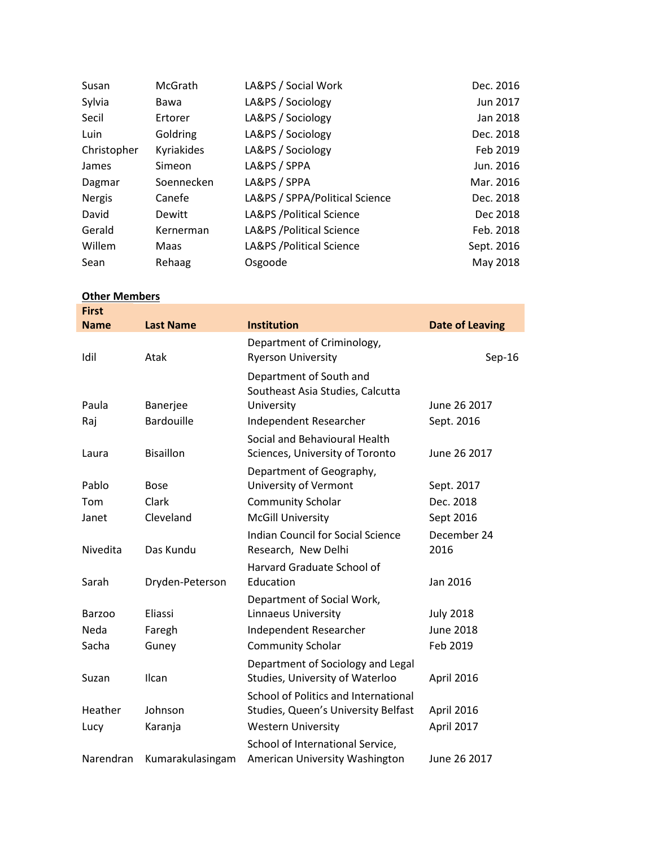| Susan         | McGrath    | LA&PS / Social Work            | Dec. 2016  |
|---------------|------------|--------------------------------|------------|
| Sylvia        | Bawa       | LA&PS / Sociology              | Jun 2017   |
| Secil         | Ertorer    | LA&PS / Sociology              | Jan 2018   |
| Luin          | Goldring   | LA&PS / Sociology              | Dec. 2018  |
| Christopher   | Kyriakides | LA&PS / Sociology              | Feb 2019   |
| James         | Simeon     | LA&PS / SPPA                   | Jun. 2016  |
| Dagmar        | Soennecken | LA&PS / SPPA                   | Mar. 2016  |
| <b>Nergis</b> | Canefe     | LA&PS / SPPA/Political Science | Dec. 2018  |
| David         | Dewitt     | LA&PS / Political Science      | Dec 2018   |
| Gerald        | Kernerman  | LA&PS / Political Science      | Feb. 2018  |
| Willem        | Maas       | LA&PS / Political Science      | Sept. 2016 |
| Sean          | Rehaag     | Osgoode                        | May 2018   |

## **Other Members**

| <b>First</b>  |                   |                                                                             |                        |
|---------------|-------------------|-----------------------------------------------------------------------------|------------------------|
| <b>Name</b>   | <b>Last Name</b>  | <b>Institution</b>                                                          | <b>Date of Leaving</b> |
| Idil          | Atak              | Department of Criminology,<br><b>Ryerson University</b>                     | $Sep-16$               |
|               |                   | Department of South and<br>Southeast Asia Studies, Calcutta                 |                        |
| Paula         | Banerjee          | University                                                                  | June 26 2017           |
| Raj           | <b>Bardouille</b> | Independent Researcher                                                      | Sept. 2016             |
| Laura         | <b>Bisaillon</b>  | Social and Behavioural Health<br>Sciences, University of Toronto            | June 26 2017           |
|               |                   | Department of Geography,                                                    |                        |
| Pablo         | <b>Bose</b>       | University of Vermont                                                       | Sept. 2017             |
| Tom           | Clark             | <b>Community Scholar</b>                                                    | Dec. 2018              |
| Janet         | Cleveland         | <b>McGill University</b>                                                    | Sept 2016              |
| Nivedita      | Das Kundu         | <b>Indian Council for Social Science</b><br>Research, New Delhi             | December 24<br>2016    |
| Sarah         | Dryden-Peterson   | Harvard Graduate School of<br>Education                                     | Jan 2016               |
|               |                   | Department of Social Work,                                                  |                        |
| <b>Barzoo</b> | Eliassi           | <b>Linnaeus University</b>                                                  | <b>July 2018</b>       |
| Neda          | Faregh            | Independent Researcher                                                      | <b>June 2018</b>       |
| Sacha         | Guney             | <b>Community Scholar</b>                                                    | Feb 2019               |
| Suzan         | Ilcan             | Department of Sociology and Legal<br>Studies, University of Waterloo        | April 2016             |
| Heather       | Johnson           | School of Politics and International<br>Studies, Queen's University Belfast | April 2016             |
| Lucy          | Karanja           | <b>Western University</b>                                                   | April 2017             |
| Narendran     | Kumarakulasingam  | School of International Service,<br>American University Washington          | June 26 2017           |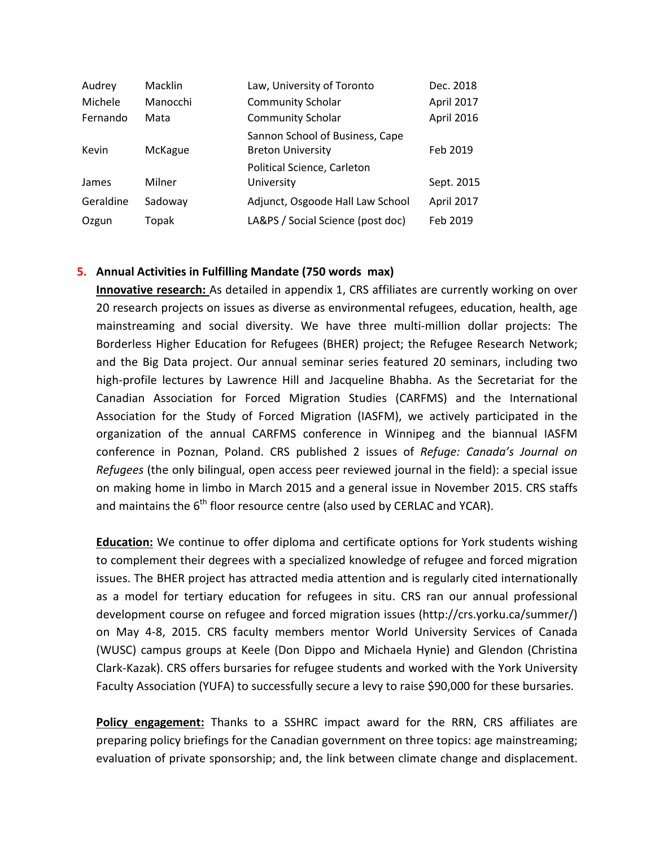| Audrey    | <b>Macklin</b> | Law, University of Toronto                                  | Dec. 2018  |
|-----------|----------------|-------------------------------------------------------------|------------|
| Michele   | Manocchi       | <b>Community Scholar</b>                                    | April 2017 |
| Fernando  | Mata           | <b>Community Scholar</b>                                    | April 2016 |
| Kevin     | McKague        | Sannon School of Business, Cape<br><b>Breton University</b> | Feb 2019   |
|           |                | Political Science, Carleton                                 |            |
| James     | Milner         | University                                                  | Sept. 2015 |
| Geraldine | Sadoway        | Adjunct, Osgoode Hall Law School                            | April 2017 |
| Ozgun     | Topak          | LA&PS / Social Science (post doc)                           | Feb 2019   |

#### **5. Annual Activities in Fulfilling Mandate (750 words max)**

**Innovative research:** As detailed in appendix 1, CRS affiliates are currently working on over 20 research projects on issues as diverse as environmental refugees, education, health, age mainstreaming and social diversity. We have three multi-million dollar projects: The Borderless Higher Education for Refugees (BHER) project; the Refugee Research Network; and the Big Data project. Our annual seminar series featured 20 seminars, including two high-profile lectures by Lawrence Hill and Jacqueline Bhabha. As the Secretariat for the Canadian Association for Forced Migration Studies (CARFMS) and the International Association for the Study of Forced Migration (IASFM), we actively participated in the organization of the annual CARFMS conference in Winnipeg and the biannual IASFM conference in Poznan, Poland. CRS published 2 issues of *Refuge: Canada's Journal on Refugees* (the only bilingual, open access peer reviewed journal in the field): a special issue on making home in limbo in March 2015 and a general issue in November 2015. CRS staffs and maintains the  $6<sup>th</sup>$  floor resource centre (also used by CERLAC and YCAR).

**Education:** We continue to offer diploma and certificate options for York students wishing to complement their degrees with a specialized knowledge of refugee and forced migration issues. The BHER project has attracted media attention and is regularly cited internationally as a model for tertiary education for refugees in situ. CRS ran our annual professional development course on refugee and forced migration issues (http://crs.yorku.ca/summer/) on May 4-8, 2015. CRS faculty members mentor World University Services of Canada (WUSC) campus groups at Keele (Don Dippo and Michaela Hynie) and Glendon (Christina Clark-Kazak). CRS offers bursaries for refugee students and worked with the York University Faculty Association (YUFA) to successfully secure a levy to raise \$90,000 for these bursaries.

**Policy engagement:** Thanks to a SSHRC impact award for the RRN, CRS affiliates are preparing policy briefings for the Canadian government on three topics: age mainstreaming; evaluation of private sponsorship; and, the link between climate change and displacement.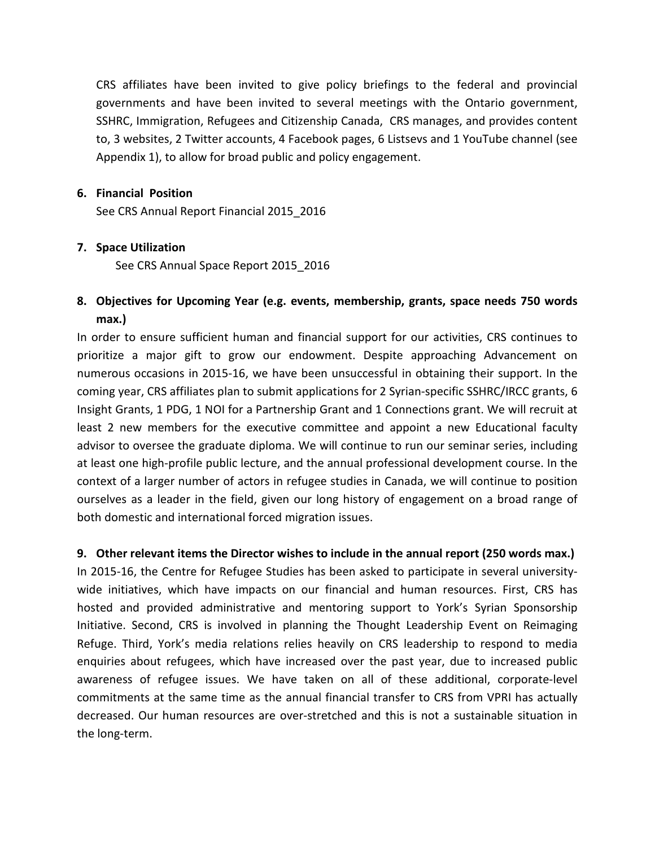CRS affiliates have been invited to give policy briefings to the federal and provincial governments and have been invited to several meetings with the Ontario government, SSHRC, Immigration, Refugees and Citizenship Canada, CRS manages, and provides content to, 3 websites, 2 Twitter accounts, 4 Facebook pages, 6 Listsevs and 1 YouTube channel (see Appendix 1), to allow for broad public and policy engagement.

#### **6. Financial Position**

See CRS Annual Report Financial 2015\_2016

#### **7. Space Utilization**

See CRS Annual Space Report 2015\_2016

## **8. Objectives for Upcoming Year (e.g. events, membership, grants, space needs 750 words max.)**

In order to ensure sufficient human and financial support for our activities, CRS continues to prioritize a major gift to grow our endowment. Despite approaching Advancement on numerous occasions in 2015-16, we have been unsuccessful in obtaining their support. In the coming year, CRS affiliates plan to submit applications for 2 Syrian-specific SSHRC/IRCC grants, 6 Insight Grants, 1 PDG, 1 NOI for a Partnership Grant and 1 Connections grant. We will recruit at least 2 new members for the executive committee and appoint a new Educational faculty advisor to oversee the graduate diploma. We will continue to run our seminar series, including at least one high-profile public lecture, and the annual professional development course. In the context of a larger number of actors in refugee studies in Canada, we will continue to position ourselves as a leader in the field, given our long history of engagement on a broad range of both domestic and international forced migration issues.

#### **9. Other relevant items the Director wishes to include in the annual report (250 words max.)**

In 2015-16, the Centre for Refugee Studies has been asked to participate in several universitywide initiatives, which have impacts on our financial and human resources. First, CRS has hosted and provided administrative and mentoring support to York's Syrian Sponsorship Initiative. Second, CRS is involved in planning the Thought Leadership Event on Reimaging Refuge. Third, York's media relations relies heavily on CRS leadership to respond to media enquiries about refugees, which have increased over the past year, due to increased public awareness of refugee issues. We have taken on all of these additional, corporate-level commitments at the same time as the annual financial transfer to CRS from VPRI has actually decreased. Our human resources are over-stretched and this is not a sustainable situation in the long-term.